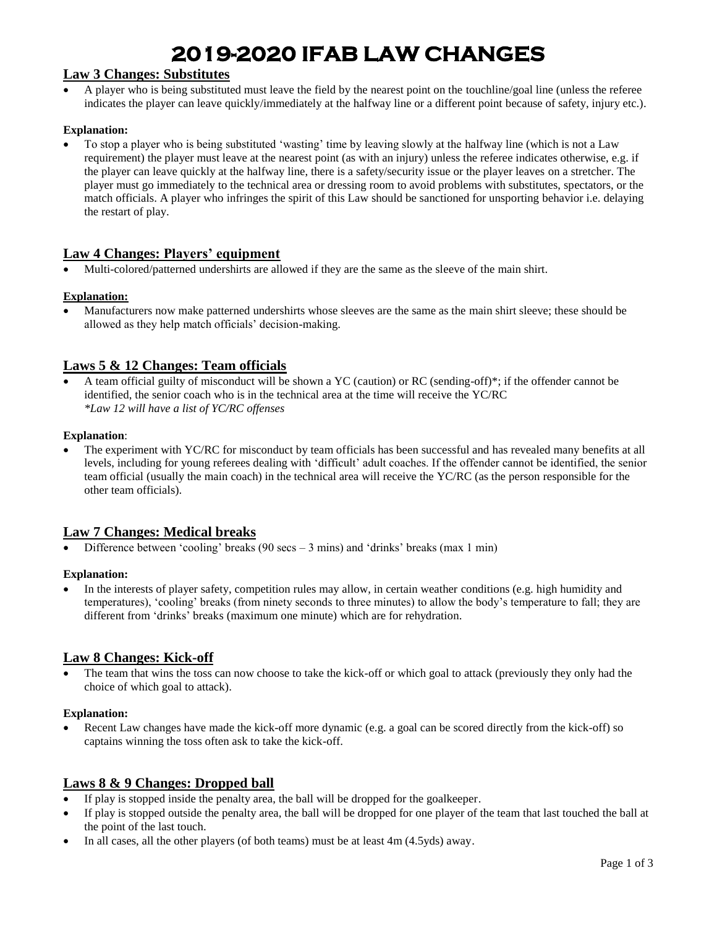# **2019-2020 IFAB LAW CHANGES**

# **Law 3 Changes: Substitutes**

• A player who is being substituted must leave the field by the nearest point on the touchline/goal line (unless the referee indicates the player can leave quickly/immediately at the halfway line or a different point because of safety, injury etc.).

### **Explanation:**

• To stop a player who is being substituted 'wasting' time by leaving slowly at the halfway line (which is not a Law requirement) the player must leave at the nearest point (as with an injury) unless the referee indicates otherwise, e.g. if the player can leave quickly at the halfway line, there is a safety/security issue or the player leaves on a stretcher. The player must go immediately to the technical area or dressing room to avoid problems with substitutes, spectators, or the match officials. A player who infringes the spirit of this Law should be sanctioned for unsporting behavior i.e. delaying the restart of play.

## **Law 4 Changes: Players' equipment**

• Multi-colored/patterned undershirts are allowed if they are the same as the sleeve of the main shirt.

#### **Explanation:**

• Manufacturers now make patterned undershirts whose sleeves are the same as the main shirt sleeve; these should be allowed as they help match officials' decision-making.

## **Laws 5 & 12 Changes: Team officials**

• A team official guilty of misconduct will be shown a YC (caution) or RC (sending-off)\*; if the offender cannot be identified, the senior coach who is in the technical area at the time will receive the YC/RC *\*Law 12 will have a list of YC/RC offenses*

#### **Explanation**:

• The experiment with YC/RC for misconduct by team officials has been successful and has revealed many benefits at all levels, including for young referees dealing with 'difficult' adult coaches. If the offender cannot be identified, the senior team official (usually the main coach) in the technical area will receive the YC/RC (as the person responsible for the other team officials).

## **Law 7 Changes: Medical breaks**

Difference between 'cooling' breaks (90 secs  $-3$  mins) and 'drinks' breaks (max 1 min)

#### **Explanation:**

In the interests of player safety, competition rules may allow, in certain weather conditions (e.g. high humidity and temperatures), 'cooling' breaks (from ninety seconds to three minutes) to allow the body's temperature to fall; they are different from 'drinks' breaks (maximum one minute) which are for rehydration.

### **Law 8 Changes: Kick-off**

The team that wins the toss can now choose to take the kick-off or which goal to attack (previously they only had the choice of which goal to attack).

#### **Explanation:**

• Recent Law changes have made the kick-off more dynamic (e.g. a goal can be scored directly from the kick-off) so captains winning the toss often ask to take the kick-off.

## **Laws 8 & 9 Changes: Dropped ball**

- If play is stopped inside the penalty area, the ball will be dropped for the goalkeeper.
- If play is stopped outside the penalty area, the ball will be dropped for one player of the team that last touched the ball at the point of the last touch.
- In all cases, all the other players (of both teams) must be at least  $4m$  ( $4.5yds$ ) away.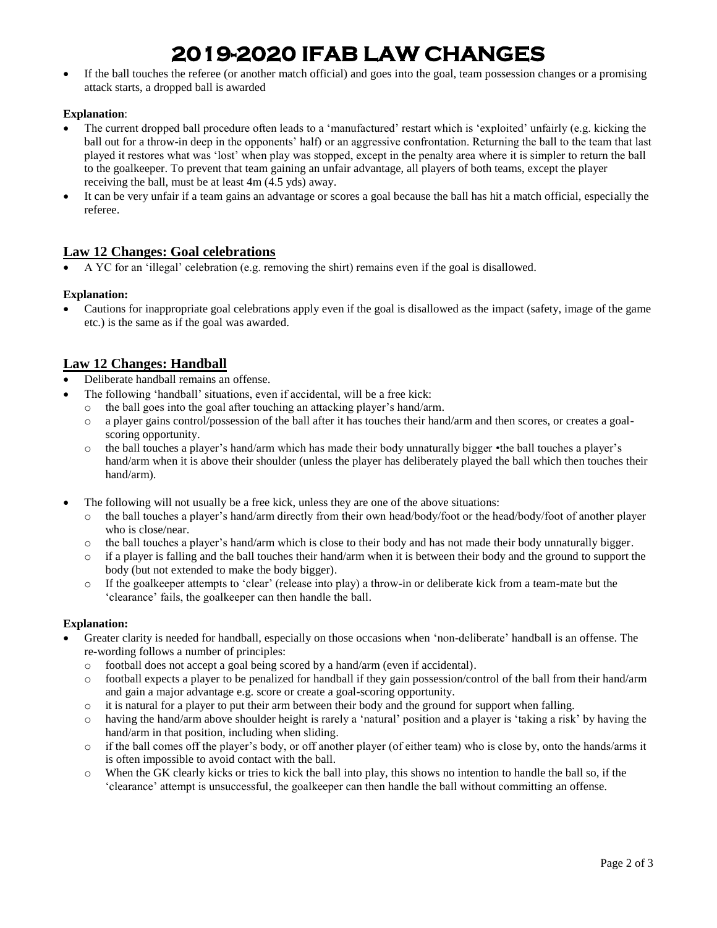# **2019-2020 IFAB LAW CHANGES**

• If the ball touches the referee (or another match official) and goes into the goal, team possession changes or a promising attack starts, a dropped ball is awarded

## **Explanation**:

- The current dropped ball procedure often leads to a 'manufactured' restart which is 'exploited' unfairly (e.g. kicking the ball out for a throw-in deep in the opponents' half) or an aggressive confrontation. Returning the ball to the team that last played it restores what was 'lost' when play was stopped, except in the penalty area where it is simpler to return the ball to the goalkeeper. To prevent that team gaining an unfair advantage, all players of both teams, except the player receiving the ball, must be at least 4m (4.5 yds) away.
- It can be very unfair if a team gains an advantage or scores a goal because the ball has hit a match official, especially the referee.

# **Law 12 Changes: Goal celebrations**

• A YC for an 'illegal' celebration (e.g. removing the shirt) remains even if the goal is disallowed.

## **Explanation:**

• Cautions for inappropriate goal celebrations apply even if the goal is disallowed as the impact (safety, image of the game etc.) is the same as if the goal was awarded.

# **Law 12 Changes: Handball**

- Deliberate handball remains an offense.
- The following 'handball' situations, even if accidental, will be a free kick:
	- the ball goes into the goal after touching an attacking player's hand/arm.
	- $\circ$  a player gains control/possession of the ball after it has touches their hand/arm and then scores, or creates a goalscoring opportunity.
	- o the ball touches a player's hand/arm which has made their body unnaturally bigger •the ball touches a player's hand/arm when it is above their shoulder (unless the player has deliberately played the ball which then touches their hand/arm).
- The following will not usually be a free kick, unless they are one of the above situations:
	- o the ball touches a player's hand/arm directly from their own head/body/foot or the head/body/foot of another player who is close/near.
	- $\circ$  the ball touches a player's hand/arm which is close to their body and has not made their body unnaturally bigger.
	- $\circ$  if a player is falling and the ball touches their hand/arm when it is between their body and the ground to support the body (but not extended to make the body bigger).
	- o If the goalkeeper attempts to 'clear' (release into play) a throw-in or deliberate kick from a team-mate but the 'clearance' fails, the goalkeeper can then handle the ball.

### **Explanation:**

- Greater clarity is needed for handball, especially on those occasions when 'non-deliberate' handball is an offense. The re-wording follows a number of principles:
	- o football does not accept a goal being scored by a hand/arm (even if accidental).
	- o football expects a player to be penalized for handball if they gain possession/control of the ball from their hand/arm and gain a major advantage e.g. score or create a goal-scoring opportunity.
	- $\circ$  it is natural for a player to put their arm between their body and the ground for support when falling.
	- o having the hand/arm above shoulder height is rarely a 'natural' position and a player is 'taking a risk' by having the hand/arm in that position, including when sliding.
	- o if the ball comes off the player's body, or off another player (of either team) who is close by, onto the hands/arms it is often impossible to avoid contact with the ball.
	- o When the GK clearly kicks or tries to kick the ball into play, this shows no intention to handle the ball so, if the 'clearance' attempt is unsuccessful, the goalkeeper can then handle the ball without committing an offense.